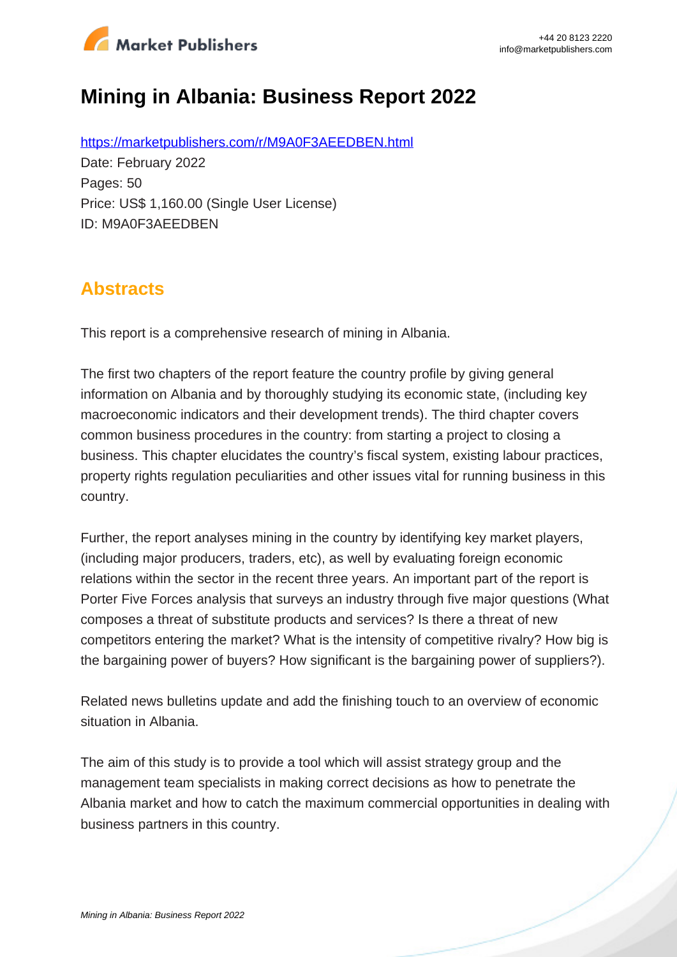

# **Mining in Albania: Business Report 2022**

https://marketpublishers.com/r/M9A0F3AEEDBEN.html Date: February 2022 Pages: 50 Price: US\$ 1,160.00 (Single User License) ID: M9A0F3AEEDBEN

## **Abstracts**

This report is a comprehensive research of mining in Albania.

The first two chapters of the report feature the country profile by giving general information on Albania and by thoroughly studying its economic state, (including key macroeconomic indicators and their development trends). The third chapter covers common business procedures in the country: from starting a project to closing a business. This chapter elucidates the country's fiscal system, existing labour practices, property rights regulation peculiarities and other issues vital for running business in this country.

Further, the report analyses mining in the country by identifying key market players, (including major producers, traders, etc), as well by evaluating foreign economic relations within the sector in the recent three years. An important part of the report is Porter Five Forces analysis that surveys an industry through five major questions (What composes a threat of substitute products and services? Is there a threat of new competitors entering the market? What is the intensity of competitive rivalry? How big is the bargaining power of buyers? How significant is the bargaining power of suppliers?).

Related news bulletins update and add the finishing touch to an overview of economic situation in Albania.

The aim of this study is to provide a tool which will assist strategy group and the management team specialists in making correct decisions as how to penetrate the Albania market and how to catch the maximum commercial opportunities in dealing with business partners in this country.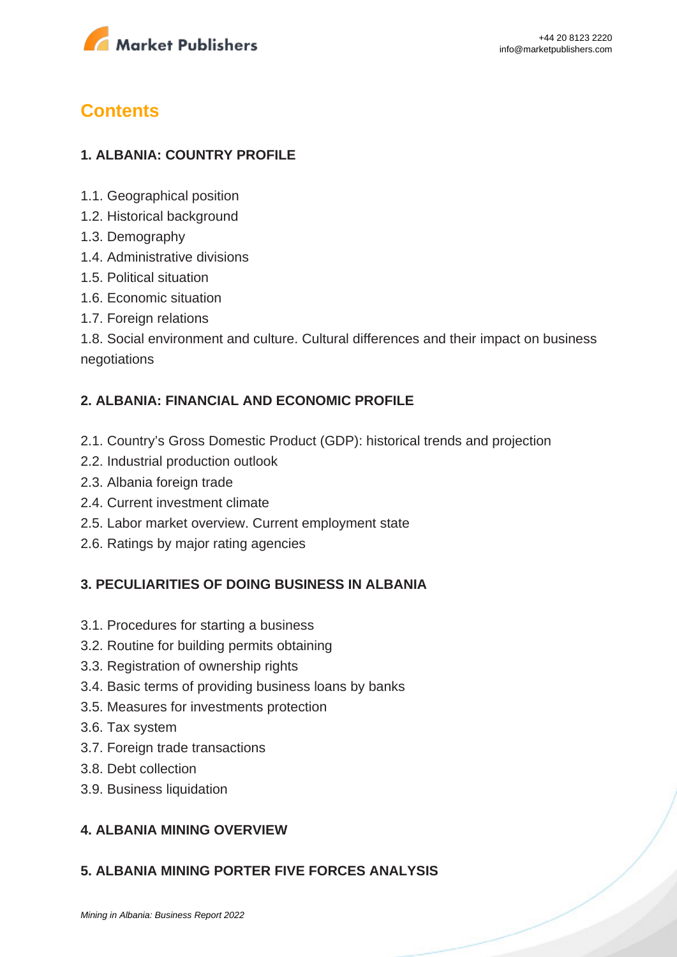

## **Contents**

### **1. ALBANIA: COUNTRY PROFILE**

- 1.1. Geographical position
- 1.2. Historical background
- 1.3. Demography
- 1.4. Administrative divisions
- 1.5. Political situation
- 1.6. Economic situation
- 1.7. Foreign relations

1.8. Social environment and culture. Cultural differences and their impact on business negotiations

#### **2. ALBANIA: FINANCIAL AND ECONOMIC PROFILE**

- 2.1. Country's Gross Domestic Product (GDP): historical trends and projection
- 2.2. Industrial production outlook
- 2.3. Albania foreign trade
- 2.4. Current investment climate
- 2.5. Labor market overview. Current employment state
- 2.6. Ratings by major rating agencies

#### **3. PECULIARITIES OF DOING BUSINESS IN ALBANIA**

- 3.1. Procedures for starting a business
- 3.2. Routine for building permits obtaining
- 3.3. Registration of ownership rights
- 3.4. Basic terms of providing business loans by banks
- 3.5. Measures for investments protection
- 3.6. Tax system
- 3.7. Foreign trade transactions
- 3.8. Debt collection
- 3.9. Business liquidation

#### **4. ALBANIA MINING OVERVIEW**

#### **5. ALBANIA MINING PORTER FIVE FORCES ANALYSIS**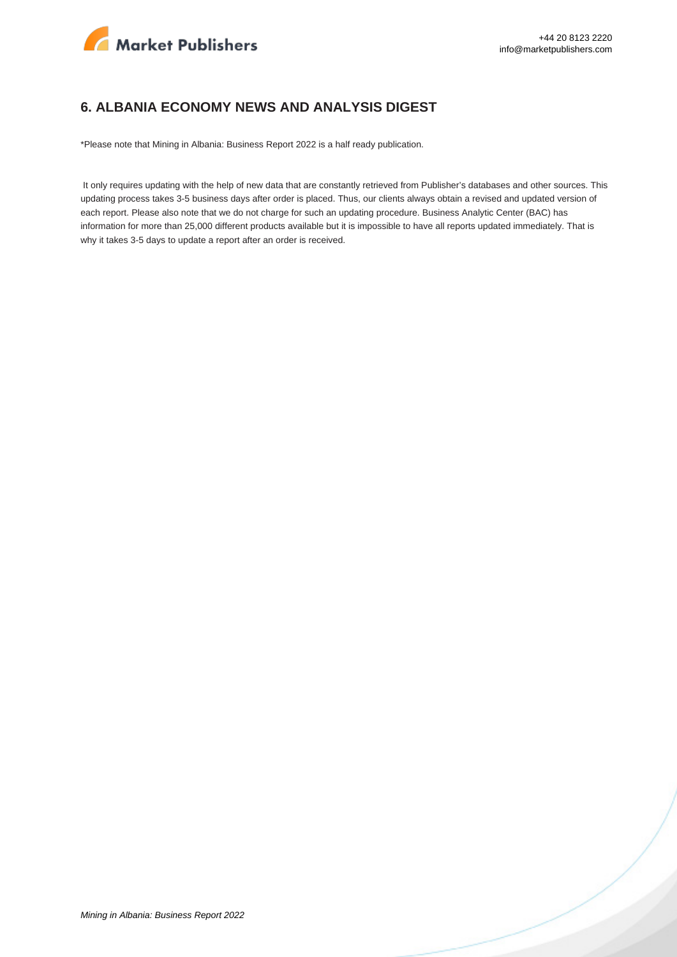

#### **6. ALBANIA ECONOMY NEWS AND ANALYSIS DIGEST**

\*Please note that Mining in Albania: Business Report 2022 is a half ready publication.

 It only requires updating with the help of new data that are constantly retrieved from Publisher's databases and other sources. This updating process takes 3-5 business days after order is placed. Thus, our clients always obtain a revised and updated version of each report. Please also note that we do not charge for such an updating procedure. Business Analytic Center (BAC) has information for more than 25,000 different products available but it is impossible to have all reports updated immediately. That is why it takes 3-5 days to update a report after an order is received.